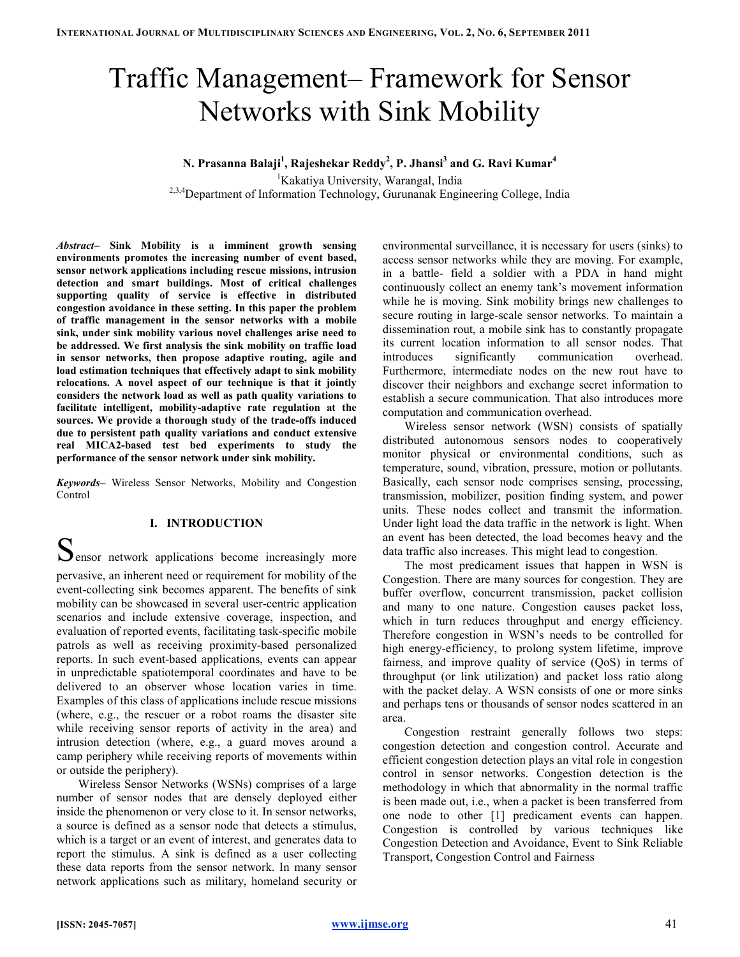# Traffic Management– Framework for Sensor Networks with Sink Mobility

N. Prasanna Balaji<sup>1</sup>, Rajeshekar Reddy<sup>2</sup>, P. Jhansi<sup>3</sup> and G. Ravi Kumar<sup>4</sup>

<sup>1</sup>Kakatiya University, Warangal, India <sup>2,3,4</sup>Department of Information Technology, Gurunanak Engineering College, India

Abstract– Sink Mobility is a imminent growth sensing environments promotes the increasing number of event based, sensor network applications including rescue missions, intrusion detection and smart buildings. Most of critical challenges supporting quality of service is effective in distributed congestion avoidance in these setting. In this paper the problem of traffic management in the sensor networks with a mobile sink, under sink mobility various novel challenges arise need to be addressed. We first analysis the sink mobility on traffic load in sensor networks, then propose adaptive routing, agile and load estimation techniques that effectively adapt to sink mobility relocations. A novel aspect of our technique is that it jointly considers the network load as well as path quality variations to facilitate intelligent, mobility-adaptive rate regulation at the sources. We provide a thorough study of the trade-offs induced due to persistent path quality variations and conduct extensive real MICA2-based test bed experiments to study the performance of the sensor network under sink mobility.

Keywords- Wireless Sensor Networks, Mobility and Congestion Control

## I. INTRODUCTION

 $S_{\text{ensor network applications become increasingly more}}$ 

pervasive, an inherent need or requirement for mobility of the event-collecting sink becomes apparent. The benefits of sink mobility can be showcased in several user-centric application scenarios and include extensive coverage, inspection, and evaluation of reported events, facilitating task-specific mobile patrols as well as receiving proximity-based personalized reports. In such event-based applications, events can appear in unpredictable spatiotemporal coordinates and have to be delivered to an observer whose location varies in time. Examples of this class of applications include rescue missions (where, e.g., the rescuer or a robot roams the disaster site while receiving sensor reports of activity in the area) and intrusion detection (where, e.g., a guard moves around a camp periphery while receiving reports of movements within or outside the periphery).

Wireless Sensor Networks (WSNs) comprises of a large number of sensor nodes that are densely deployed either inside the phenomenon or very close to it. In sensor networks, a source is defined as a sensor node that detects a stimulus, which is a target or an event of interest, and generates data to report the stimulus. A sink is defined as a user collecting these data reports from the sensor network. In many sensor network applications such as military, homeland security or environmental surveillance, it is necessary for users (sinks) to access sensor networks while they are moving. For example, in a battle- field a soldier with a PDA in hand might continuously collect an enemy tank's movement information while he is moving. Sink mobility brings new challenges to secure routing in large-scale sensor networks. To maintain a dissemination rout, a mobile sink has to constantly propagate its current location information to all sensor nodes. That introduces significantly communication overhead. Furthermore, intermediate nodes on the new rout have to discover their neighbors and exchange secret information to establish a secure communication. That also introduces more computation and communication overhead.

Wireless sensor network (WSN) consists of spatially distributed autonomous sensors nodes to cooperatively monitor physical or environmental conditions, such as temperature, sound, vibration, pressure, motion or pollutants. Basically, each sensor node comprises sensing, processing, transmission, mobilizer, position finding system, and power units. These nodes collect and transmit the information. Under light load the data traffic in the network is light. When an event has been detected, the load becomes heavy and the data traffic also increases. This might lead to congestion.

The most predicament issues that happen in WSN is Congestion. There are many sources for congestion. They are buffer overflow, concurrent transmission, packet collision and many to one nature. Congestion causes packet loss, which in turn reduces throughput and energy efficiency. Therefore congestion in WSN's needs to be controlled for high energy-efficiency, to prolong system lifetime, improve fairness, and improve quality of service (QoS) in terms of throughput (or link utilization) and packet loss ratio along with the packet delay. A WSN consists of one or more sinks and perhaps tens or thousands of sensor nodes scattered in an area.

Congestion restraint generally follows two steps: congestion detection and congestion control. Accurate and efficient congestion detection plays an vital role in congestion control in sensor networks. Congestion detection is the methodology in which that abnormality in the normal traffic is been made out, i.e., when a packet is been transferred from one node to other [1] predicament events can happen. Congestion is controlled by various techniques like Congestion Detection and Avoidance, Event to Sink Reliable Transport, Congestion Control and Fairness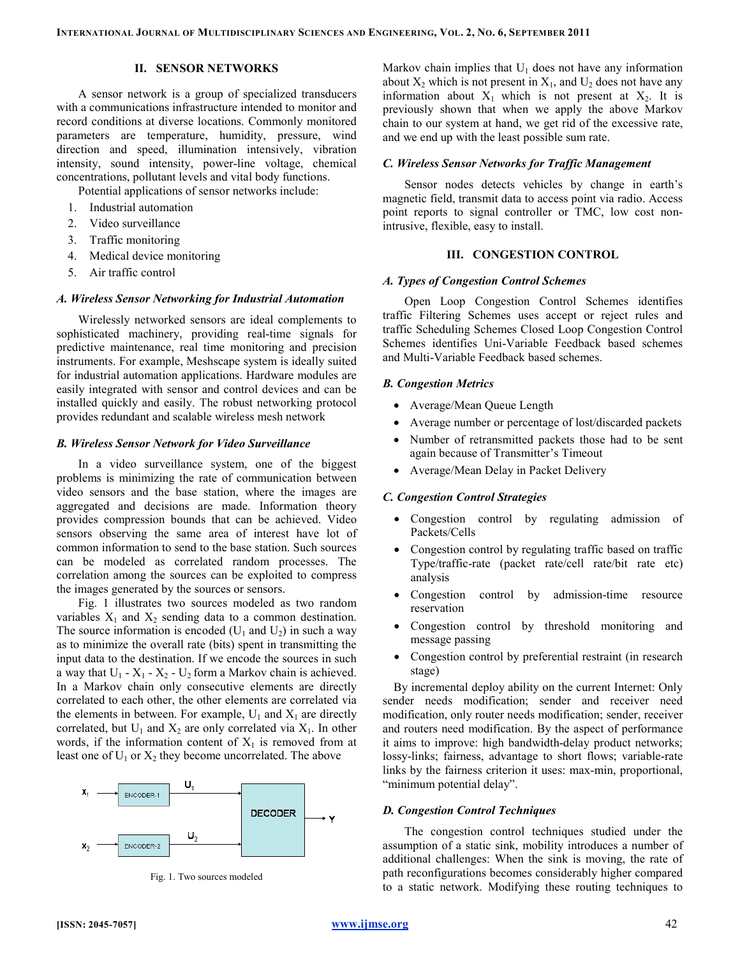## II. SENSOR NETWORKS

A sensor network is a group of specialized transducers with a communications infrastructure intended to monitor and record conditions at diverse locations. Commonly monitored parameters are temperature, humidity, pressure, wind direction and speed, illumination intensively, vibration intensity, sound intensity, power-line voltage, chemical concentrations, pollutant levels and vital body functions.

Potential applications of sensor networks include:

- 1. Industrial automation
- 2. Video surveillance
- 3. Traffic monitoring
- 4. Medical device monitoring
- 5. Air traffic control

#### A. Wireless Sensor Networking for Industrial Automation

Wirelessly networked sensors are ideal complements to sophisticated machinery, providing real-time signals for predictive maintenance, real time monitoring and precision instruments. For example, Meshscape system is ideally suited for industrial automation applications. Hardware modules are easily integrated with sensor and control devices and can be installed quickly and easily. The robust networking protocol provides redundant and scalable wireless mesh network

#### B. Wireless Sensor Network for Video Surveillance

In a video surveillance system, one of the biggest problems is minimizing the rate of communication between video sensors and the base station, where the images are aggregated and decisions are made. Information theory provides compression bounds that can be achieved. Video sensors observing the same area of interest have lot of common information to send to the base station. Such sources can be modeled as correlated random processes. The correlation among the sources can be exploited to compress the images generated by the sources or sensors.

Fig. 1 illustrates two sources modeled as two random variables  $X_1$  and  $X_2$  sending data to a common destination. The source information is encoded  $(U_1$  and  $U_2)$  in such a way as to minimize the overall rate (bits) spent in transmitting the input data to the destination. If we encode the sources in such a way that  $U_1 - X_1 - X_2 - U_2$  form a Markov chain is achieved. In a Markov chain only consecutive elements are directly correlated to each other, the other elements are correlated via the elements in between. For example,  $U_1$  and  $X_1$  are directly correlated, but  $U_1$  and  $X_2$  are only correlated via  $X_1$ . In other words, if the information content of  $X_1$  is removed from at least one of  $U_1$  or  $X_2$  they become uncorrelated. The above



Fig. 1. Two sources modeled

Markov chain implies that  $U_1$  does not have any information about  $X_2$  which is not present in  $X_1$ , and  $U_2$  does not have any information about  $X_1$  which is not present at  $X_2$ . It is previously shown that when we apply the above Markov chain to our system at hand, we get rid of the excessive rate, and we end up with the least possible sum rate.

#### C. Wireless Sensor Networks for Traffic Management

Sensor nodes detects vehicles by change in earth's magnetic field, transmit data to access point via radio. Access point reports to signal controller or TMC, low cost nonintrusive, flexible, easy to install.

#### III. CONGESTION CONTROL

#### A. Types of Congestion Control Schemes

Open Loop Congestion Control Schemes identifies traffic Filtering Schemes uses accept or reject rules and traffic Scheduling Schemes Closed Loop Congestion Control Schemes identifies Uni-Variable Feedback based schemes and Multi-Variable Feedback based schemes.

#### B. Congestion Metrics

- Average/Mean Queue Length
- Average number or percentage of lost/discarded packets
- Number of retransmitted packets those had to be sent again because of Transmitter's Timeout
- Average/Mean Delay in Packet Delivery

#### C. Congestion Control Strategies

- Congestion control by regulating admission of Packets/Cells
- Congestion control by regulating traffic based on traffic Type/traffic-rate (packet rate/cell rate/bit rate etc) analysis
- Congestion control by admission-time resource reservation
- Congestion control by threshold monitoring and message passing
- Congestion control by preferential restraint (in research stage)

By incremental deploy ability on the current Internet: Only sender needs modification; sender and receiver need modification, only router needs modification; sender, receiver and routers need modification. By the aspect of performance it aims to improve: high bandwidth-delay product networks; lossy-links; fairness, advantage to short flows; variable-rate links by the fairness criterion it uses: max-min, proportional, "minimum potential delay".

## D. Congestion Control Techniques

The congestion control techniques studied under the assumption of a static sink, mobility introduces a number of additional challenges: When the sink is moving, the rate of path reconfigurations becomes considerably higher compared to a static network. Modifying these routing techniques to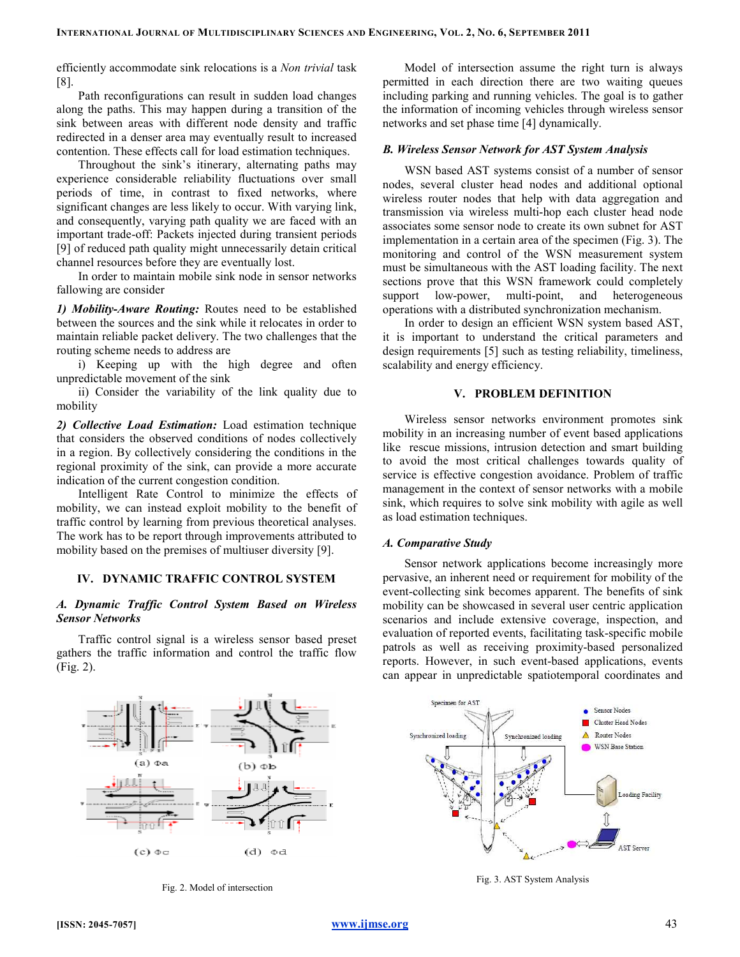efficiently accommodate sink relocations is a Non trivial task [8].

Path reconfigurations can result in sudden load changes along the paths. This may happen during a transition of the sink between areas with different node density and traffic redirected in a denser area may eventually result to increased contention. These effects call for load estimation techniques.

Throughout the sink's itinerary, alternating paths may experience considerable reliability fluctuations over small periods of time, in contrast to fixed networks, where significant changes are less likely to occur. With varying link, and consequently, varying path quality we are faced with an important trade-off: Packets injected during transient periods [9] of reduced path quality might unnecessarily detain critical channel resources before they are eventually lost.

In order to maintain mobile sink node in sensor networks fallowing are consider

1) Mobility-Aware Routing: Routes need to be established between the sources and the sink while it relocates in order to maintain reliable packet delivery. The two challenges that the routing scheme needs to address are

i) Keeping up with the high degree and often unpredictable movement of the sink

ii) Consider the variability of the link quality due to mobility

2) Collective Load Estimation: Load estimation technique that considers the observed conditions of nodes collectively in a region. By collectively considering the conditions in the regional proximity of the sink, can provide a more accurate indication of the current congestion condition.

Intelligent Rate Control to minimize the effects of mobility, we can instead exploit mobility to the benefit of traffic control by learning from previous theoretical analyses. The work has to be report through improvements attributed to mobility based on the premises of multiuser diversity [9].

## IV. DYNAMIC TRAFFIC CONTROL SYSTEM

## A. Dynamic Traffic Control System Based on Wireless Sensor Networks

Traffic control signal is a wireless sensor based preset gathers the traffic information and control the traffic flow (Fig. 2).



Fig. 2. Model of intersection

Model of intersection assume the right turn is always permitted in each direction there are two waiting queues including parking and running vehicles. The goal is to gather the information of incoming vehicles through wireless sensor networks and set phase time [4] dynamically.

#### B. Wireless Sensor Network for AST System Analysis

WSN based AST systems consist of a number of sensor nodes, several cluster head nodes and additional optional wireless router nodes that help with data aggregation and transmission via wireless multi-hop each cluster head node associates some sensor node to create its own subnet for AST implementation in a certain area of the specimen (Fig. 3). The monitoring and control of the WSN measurement system must be simultaneous with the AST loading facility. The next sections prove that this WSN framework could completely support low-power, multi-point, and heterogeneous operations with a distributed synchronization mechanism.

In order to design an efficient WSN system based AST, it is important to understand the critical parameters and design requirements [5] such as testing reliability, timeliness, scalability and energy efficiency.

## V. PROBLEM DEFINITION

Wireless sensor networks environment promotes sink mobility in an increasing number of event based applications like rescue missions, intrusion detection and smart building to avoid the most critical challenges towards quality of service is effective congestion avoidance. Problem of traffic management in the context of sensor networks with a mobile sink, which requires to solve sink mobility with agile as well as load estimation techniques.

#### A. Comparative Study

Sensor network applications become increasingly more pervasive, an inherent need or requirement for mobility of the event-collecting sink becomes apparent. The benefits of sink mobility can be showcased in several user centric application scenarios and include extensive coverage, inspection, and evaluation of reported events, facilitating task-specific mobile patrols as well as receiving proximity-based personalized reports. However, in such event-based applications, events can appear in unpredictable spatiotemporal coordinates and



Fig. 3. AST System Analysis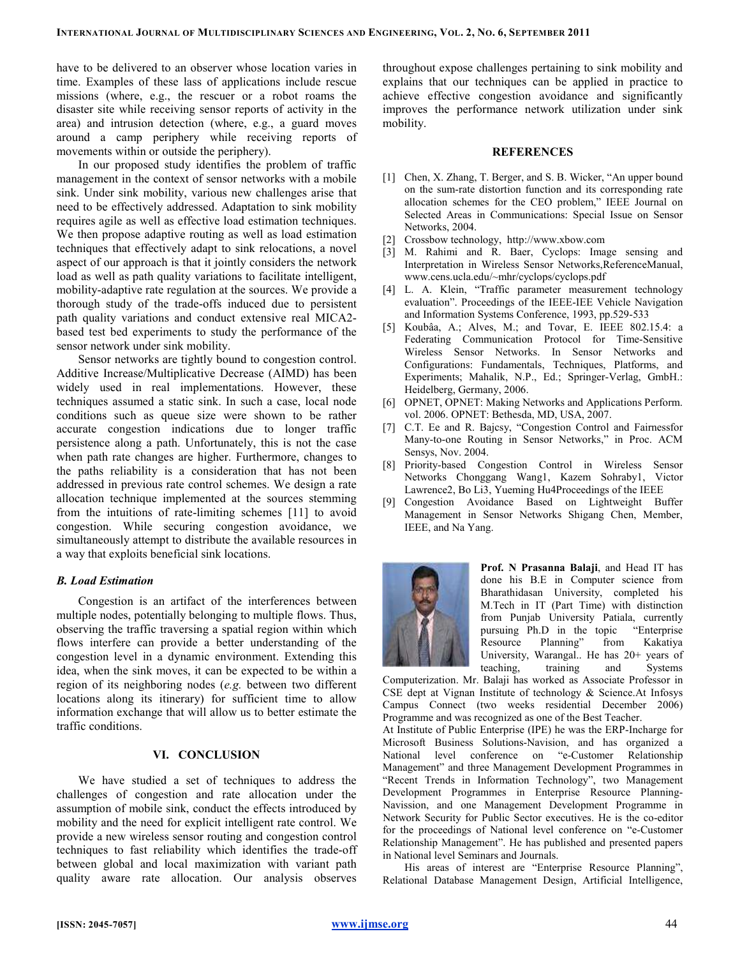have to be delivered to an observer whose location varies in time. Examples of these lass of applications include rescue missions (where, e.g., the rescuer or a robot roams the disaster site while receiving sensor reports of activity in the area) and intrusion detection (where, e.g., a guard moves around a camp periphery while receiving reports of movements within or outside the periphery).

In our proposed study identifies the problem of traffic management in the context of sensor networks with a mobile sink. Under sink mobility, various new challenges arise that need to be effectively addressed. Adaptation to sink mobility requires agile as well as effective load estimation techniques. We then propose adaptive routing as well as load estimation techniques that effectively adapt to sink relocations, a novel aspect of our approach is that it jointly considers the network load as well as path quality variations to facilitate intelligent, mobility-adaptive rate regulation at the sources. We provide a thorough study of the trade-offs induced due to persistent path quality variations and conduct extensive real MICA2 based test bed experiments to study the performance of the sensor network under sink mobility.

Sensor networks are tightly bound to congestion control. Additive Increase/Multiplicative Decrease (AIMD) has been widely used in real implementations. However, these techniques assumed a static sink. In such a case, local node conditions such as queue size were shown to be rather accurate congestion indications due to longer traffic persistence along a path. Unfortunately, this is not the case when path rate changes are higher. Furthermore, changes to the paths reliability is a consideration that has not been addressed in previous rate control schemes. We design a rate allocation technique implemented at the sources stemming from the intuitions of rate-limiting schemes [11] to avoid congestion. While securing congestion avoidance, we simultaneously attempt to distribute the available resources in a way that exploits beneficial sink locations.

## B. Load Estimation

Congestion is an artifact of the interferences between multiple nodes, potentially belonging to multiple flows. Thus, observing the traffic traversing a spatial region within which flows interfere can provide a better understanding of the congestion level in a dynamic environment. Extending this idea, when the sink moves, it can be expected to be within a region of its neighboring nodes (e.g. between two different locations along its itinerary) for sufficient time to allow information exchange that will allow us to better estimate the traffic conditions.

## VI. CONCLUSION

We have studied a set of techniques to address the challenges of congestion and rate allocation under the assumption of mobile sink, conduct the effects introduced by mobility and the need for explicit intelligent rate control. We provide a new wireless sensor routing and congestion control techniques to fast reliability which identifies the trade-off between global and local maximization with variant path quality aware rate allocation. Our analysis observes

throughout expose challenges pertaining to sink mobility and explains that our techniques can be applied in practice to achieve effective congestion avoidance and significantly improves the performance network utilization under sink mobility.

#### **REFERENCES**

- [1] Chen, X. Zhang, T. Berger, and S. B. Wicker, "An upper bound on the sum-rate distortion function and its corresponding rate allocation schemes for the CEO problem," IEEE Journal on Selected Areas in Communications: Special Issue on Sensor Networks, 2004.
- [2] Crossbow technology, http://www.xbow.com
- [3] M. Rahimi and R. Baer, Cyclops: Image sensing and Interpretation in Wireless Sensor Networks,ReferenceManual, www.cens.ucla.edu/~mhr/cyclops/cyclops.pdf
- [4] L. A. Klein, "Traffic parameter measurement technology evaluation". Proceedings of the IEEE-IEE Vehicle Navigation and Information Systems Conference, 1993, pp.529-533
- [5] Koubâa, A.; Alves, M.; and Tovar, E. IEEE 802.15.4: a Federating Communication Protocol for Time-Sensitive Wireless Sensor Networks. In Sensor Networks and Configurations: Fundamentals, Techniques, Platforms, and Experiments; Mahalik, N.P., Ed.; Springer-Verlag, GmbH.: Heidelberg, Germany, 2006.
- [6] OPNET, OPNET: Making Networks and Applications Perform. vol. 2006. OPNET: Bethesda, MD, USA, 2007.
- [7] C.T. Ee and R. Bajcsy, "Congestion Control and Fairnessfor Many-to-one Routing in Sensor Networks," in Proc. ACM Sensys, Nov. 2004.
- [8] Priority-based Congestion Control in Wireless Sensor Networks Chonggang Wang1, Kazem Sohraby1, Victor Lawrence2, Bo Li3, Yueming Hu4Proceedings of the IEEE
- [9] Congestion Avoidance Based on Lightweight Buffer Management in Sensor Networks Shigang Chen, Member, IEEE, and Na Yang.



Prof. N Prasanna Balaji, and Head IT has done his B.E in Computer science from Bharathidasan University, completed his M.Tech in IT (Part Time) with distinction from Punjab University Patiala, currently<br>pursuing Ph.D in the topic "Enterprise pursuing Ph.D in the topic Resource Planning" from Kakatiya University, Warangal.. He has 20+ years of teaching, training and Systems

Computerization. Mr. Balaji has worked as Associate Professor in CSE dept at Vignan Institute of technology & Science.At Infosys Campus Connect (two weeks residential December 2006) Programme and was recognized as one of the Best Teacher.

At Institute of Public Enterprise (IPE) he was the ERP-Incharge for Microsoft Business Solutions-Navision, and has organized a National level conference on "e-Customer Relationship Management" and three Management Development Programmes in "Recent Trends in Information Technology", two Management Development Programmes in Enterprise Resource Planning-Navission, and one Management Development Programme in Network Security for Public Sector executives. He is the co-editor for the proceedings of National level conference on "e-Customer Relationship Management". He has published and presented papers in National level Seminars and Journals.

His areas of interest are "Enterprise Resource Planning", Relational Database Management Design, Artificial Intelligence,